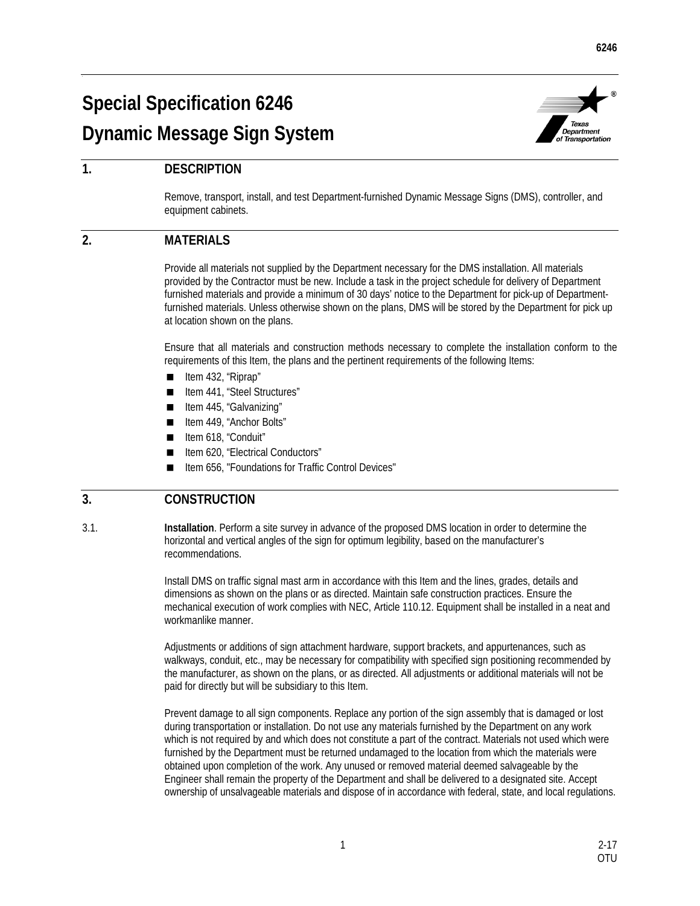# **Special Specification 6246 Dynamic Message Sign System**



## **1. DESCRIPTION**

Remove, transport, install, and test Department-furnished Dynamic Message Signs (DMS), controller, and equipment cabinets.

### **2. MATERIALS**

Provide all materials not supplied by the Department necessary for the DMS installation. All materials provided by the Contractor must be new. Include a task in the project schedule for delivery of Department furnished materials and provide a minimum of 30 days' notice to the Department for pick-up of Departmentfurnished materials. Unless otherwise shown on the plans, DMS will be stored by the Department for pick up at location shown on the plans.

Ensure that all materials and construction methods necessary to complete the installation conform to the requirements of this Item, the plans and the pertinent requirements of the following Items:

- $\blacksquare$  Item 432, "Riprap"
- Item 441, "Steel Structures"
- Item 445, "Galvanizing"
- Item 449, "Anchor Bolts"
- Item 618, "Conduit"
- Item 620, "Electrical Conductors"
- Item 656, "Foundations for Traffic Control Devices"

#### **3. CONSTRUCTION**

3.1. **Installation**. Perform a site survey in advance of the proposed DMS location in order to determine the horizontal and vertical angles of the sign for optimum legibility, based on the manufacturer's recommendations.

> Install DMS on traffic signal mast arm in accordance with this Item and the lines, grades, details and dimensions as shown on the plans or as directed. Maintain safe construction practices. Ensure the mechanical execution of work complies with NEC, Article 110.12. Equipment shall be installed in a neat and workmanlike manner.

> Adjustments or additions of sign attachment hardware, support brackets, and appurtenances, such as walkways, conduit, etc., may be necessary for compatibility with specified sign positioning recommended by the manufacturer, as shown on the plans, or as directed. All adjustments or additional materials will not be paid for directly but will be subsidiary to this Item.

> Prevent damage to all sign components. Replace any portion of the sign assembly that is damaged or lost during transportation or installation. Do not use any materials furnished by the Department on any work which is not required by and which does not constitute a part of the contract. Materials not used which were furnished by the Department must be returned undamaged to the location from which the materials were obtained upon completion of the work. Any unused or removed material deemed salvageable by the Engineer shall remain the property of the Department and shall be delivered to a designated site. Accept ownership of unsalvageable materials and dispose of in accordance with federal, state, and local regulations.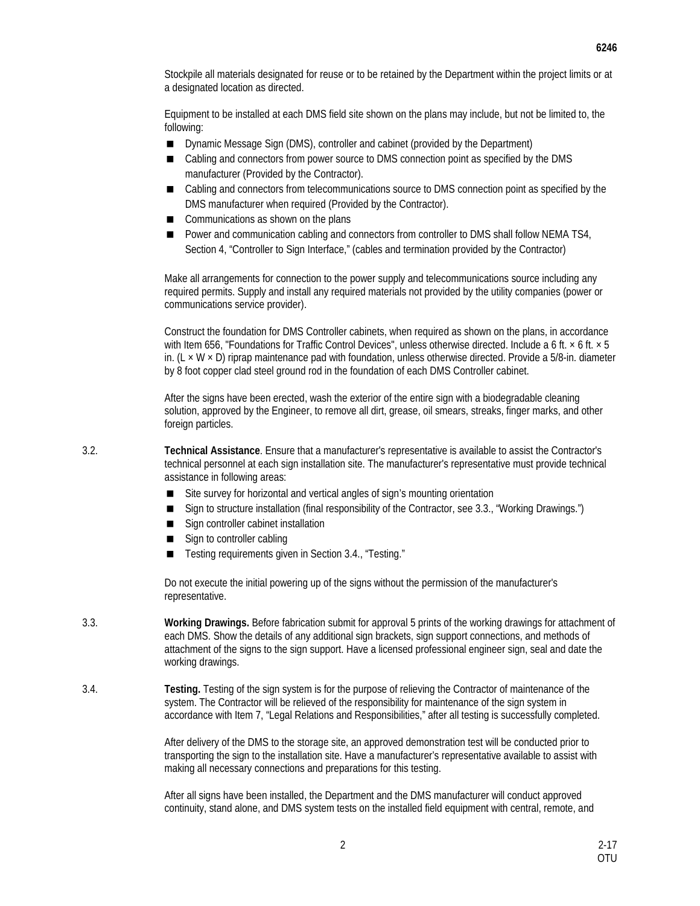Stockpile all materials designated for reuse or to be retained by the Department within the project limits or at a designated location as directed.

Equipment to be installed at each DMS field site shown on the plans may include, but not be limited to, the following:

- Dynamic Message Sign (DMS), controller and cabinet (provided by the Department)
- Cabling and connectors from power source to DMS connection point as specified by the DMS manufacturer (Provided by the Contractor).
- Cabling and connectors from telecommunications source to DMS connection point as specified by the DMS manufacturer when required (Provided by the Contractor).
- Communications as shown on the plans
- Power and communication cabling and connectors from controller to DMS shall follow NEMA TS4, Section 4, "Controller to Sign Interface," (cables and termination provided by the Contractor)

Make all arrangements for connection to the power supply and telecommunications source including any required permits. Supply and install any required materials not provided by the utility companies (power or communications service provider).

Construct the foundation for DMS Controller cabinets, when required as shown on the plans, in accordance with Item 656, "Foundations for Traffic Control Devices", unless otherwise directed. Include a 6 ft. × 6 ft. × 5 in. (L  $\times$  W  $\times$  D) riprap maintenance pad with foundation, unless otherwise directed. Provide a 5/8-in. diameter by 8 foot copper clad steel ground rod in the foundation of each DMS Controller cabinet.

After the signs have been erected, wash the exterior of the entire sign with a biodegradable cleaning solution, approved by the Engineer, to remove all dirt, grease, oil smears, streaks, finger marks, and other foreign particles.

3.2. **Technical Assistance**. Ensure that a manufacturer's representative is available to assist the Contractor's technical personnel at each sign installation site. The manufacturer's representative must provide technical assistance in following areas:

- Site survey for horizontal and vertical angles of sign's mounting orientation
- Sign to structure installation (final responsibility of the Contractor, see 3.3., "Working Drawings.")
- Sign controller cabinet installation
- Sign to controller cabling
- Testing requirements given in Section 3.4., "Testing."

Do not execute the initial powering up of the signs without the permission of the manufacturer's representative.

- 3.3. **Working Drawings.** Before fabrication submit for approval 5 prints of the working drawings for attachment of each DMS. Show the details of any additional sign brackets, sign support connections, and methods of attachment of the signs to the sign support. Have a licensed professional engineer sign, seal and date the working drawings.
- 3.4. **Testing.** Testing of the sign system is for the purpose of relieving the Contractor of maintenance of the system. The Contractor will be relieved of the responsibility for maintenance of the sign system in accordance with Item 7, "Legal Relations and Responsibilities," after all testing is successfully completed.

After delivery of the DMS to the storage site, an approved demonstration test will be conducted prior to transporting the sign to the installation site. Have a manufacturer's representative available to assist with making all necessary connections and preparations for this testing.

After all signs have been installed, the Department and the DMS manufacturer will conduct approved continuity, stand alone, and DMS system tests on the installed field equipment with central, remote, and